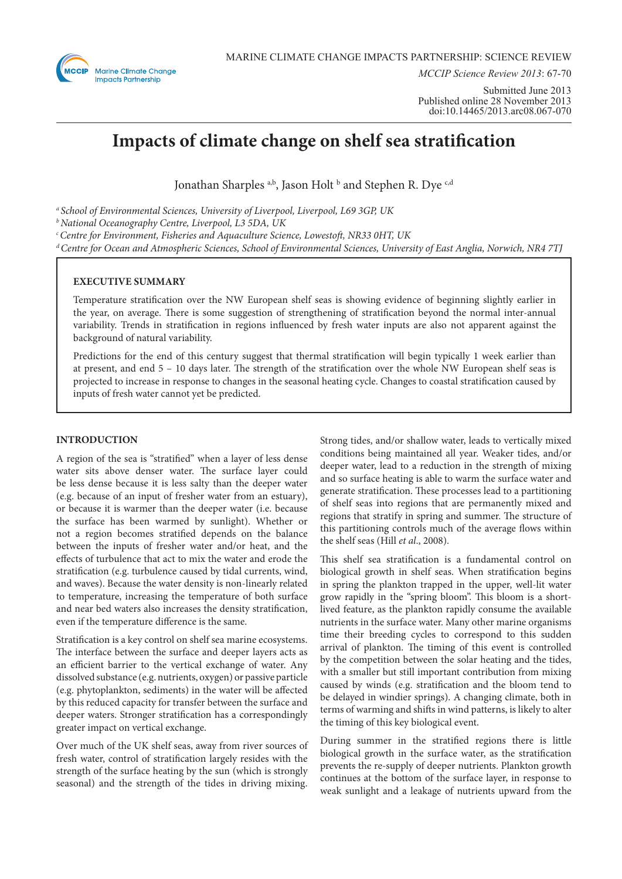

*MCCIP Science Review 2013*: 67-70

Submitted June 2013 Published online 28 November 2013 doi:10.14465/2013.arc08.067-070

# **Impacts of climate change on shelf sea stratification**

Jonathan Sharples <sup>a,b</sup>, Jason Holt <sup>b</sup> and Stephen R. Dye <sup>c,d</sup>

*a School of Environmental Sciences, University of Liverpool, Liverpool, L69 3GP, UK*

*b National Oceanography Centre, Liverpool, L3 5DA, UK*

*c Centre for Environment, Fisheries and Aquaculture Science, Lowestoft, NR33 0HT, UK* 

*d Centre for Ocean and Atmospheric Sciences, School of Environmental Sciences, University of East Anglia, Norwich, NR4 7TJ*

## **EXECUTIVE SUMMARY**

Temperature stratification over the NW European shelf seas is showing evidence of beginning slightly earlier in the year, on average. There is some suggestion of strengthening of stratification beyond the normal inter-annual variability. Trends in stratification in regions influenced by fresh water inputs are also not apparent against the background of natural variability.

Predictions for the end of this century suggest that thermal stratification will begin typically 1 week earlier than at present, and end 5 – 10 days later. The strength of the stratification over the whole NW European shelf seas is projected to increase in response to changes in the seasonal heating cycle. Changes to coastal stratification caused by inputs of fresh water cannot yet be predicted.

## **INTRODUCTION**

A region of the sea is "stratified" when a layer of less dense water sits above denser water. The surface layer could be less dense because it is less salty than the deeper water (e.g. because of an input of fresher water from an estuary), or because it is warmer than the deeper water (i.e. because the surface has been warmed by sunlight). Whether or not a region becomes stratified depends on the balance between the inputs of fresher water and/or heat, and the effects of turbulence that act to mix the water and erode the stratification (e.g. turbulence caused by tidal currents, wind, and waves). Because the water density is non-linearly related to temperature, increasing the temperature of both surface and near bed waters also increases the density stratification, even if the temperature difference is the same.

Stratification is a key control on shelf sea marine ecosystems. The interface between the surface and deeper layers acts as an efficient barrier to the vertical exchange of water. Any dissolved substance (e.g. nutrients, oxygen) or passive particle (e.g. phytoplankton, sediments) in the water will be affected by this reduced capacity for transfer between the surface and deeper waters. Stronger stratification has a correspondingly greater impact on vertical exchange.

Over much of the UK shelf seas, away from river sources of fresh water, control of stratification largely resides with the strength of the surface heating by the sun (which is strongly seasonal) and the strength of the tides in driving mixing.

Strong tides, and/or shallow water, leads to vertically mixed conditions being maintained all year. Weaker tides, and/or deeper water, lead to a reduction in the strength of mixing and so surface heating is able to warm the surface water and generate stratification. These processes lead to a partitioning of shelf seas into regions that are permanently mixed and regions that stratify in spring and summer. The structure of this partitioning controls much of the average flows within the shelf seas (Hill *et al*., 2008).

This shelf sea stratification is a fundamental control on biological growth in shelf seas. When stratification begins in spring the plankton trapped in the upper, well-lit water grow rapidly in the "spring bloom". This bloom is a shortlived feature, as the plankton rapidly consume the available nutrients in the surface water. Many other marine organisms time their breeding cycles to correspond to this sudden arrival of plankton. The timing of this event is controlled by the competition between the solar heating and the tides, with a smaller but still important contribution from mixing caused by winds (e.g. stratification and the bloom tend to be delayed in windier springs). A changing climate, both in terms of warming and shifts in wind patterns, is likely to alter the timing of this key biological event.

During summer in the stratified regions there is little biological growth in the surface water, as the stratification prevents the re-supply of deeper nutrients. Plankton growth continues at the bottom of the surface layer, in response to weak sunlight and a leakage of nutrients upward from the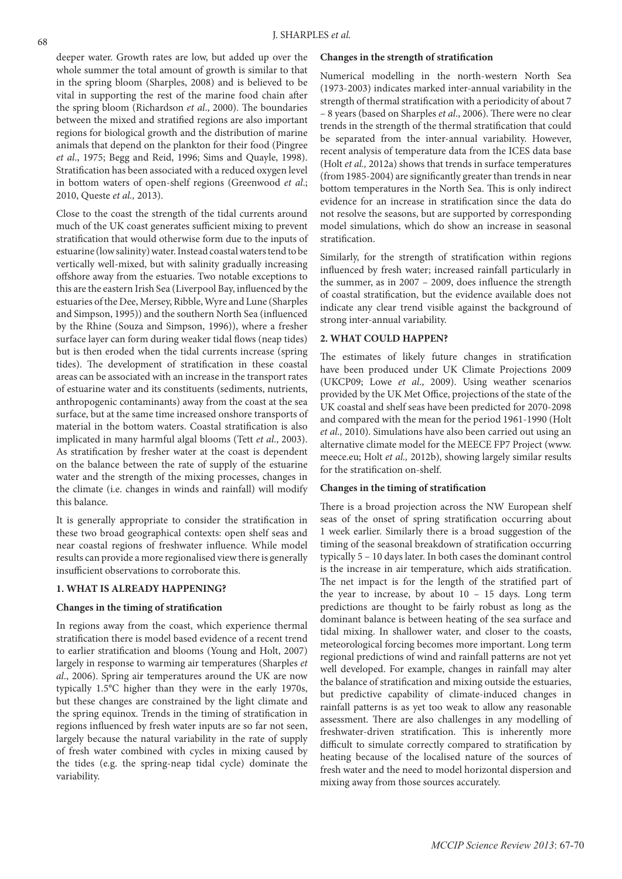deeper water. Growth rates are low, but added up over the whole summer the total amount of growth is similar to that in the spring bloom (Sharples, 2008) and is believed to be vital in supporting the rest of the marine food chain after the spring bloom (Richardson *et al*., 2000). The boundaries between the mixed and stratified regions are also important regions for biological growth and the distribution of marine animals that depend on the plankton for their food (Pingree *et al*., 1975; Begg and Reid, 1996; Sims and Quayle, 1998). Stratification has been associated with a reduced oxygen level in bottom waters of open-shelf regions (Greenwood *et al*.; 2010, Queste *et al.,* 2013).

Close to the coast the strength of the tidal currents around much of the UK coast generates sufficient mixing to prevent stratification that would otherwise form due to the inputs of estuarine (low salinity) water. Instead coastal waters tend to be vertically well-mixed, but with salinity gradually increasing offshore away from the estuaries. Two notable exceptions to this are the eastern Irish Sea (Liverpool Bay, influenced by the estuaries of the Dee, Mersey, Ribble, Wyre and Lune (Sharples and Simpson, 1995)) and the southern North Sea (influenced by the Rhine (Souza and Simpson, 1996)), where a fresher surface layer can form during weaker tidal flows (neap tides) but is then eroded when the tidal currents increase (spring tides). The development of stratification in these coastal areas can be associated with an increase in the transport rates of estuarine water and its constituents (sediments, nutrients, anthropogenic contaminants) away from the coast at the sea surface, but at the same time increased onshore transports of material in the bottom waters. Coastal stratification is also implicated in many harmful algal blooms (Tett *et al*., 2003). As stratification by fresher water at the coast is dependent on the balance between the rate of supply of the estuarine water and the strength of the mixing processes, changes in the climate (i.e. changes in winds and rainfall) will modify this balance.

It is generally appropriate to consider the stratification in these two broad geographical contexts: open shelf seas and near coastal regions of freshwater influence. While model results can provide a more regionalised view there is generally insufficient observations to corroborate this.

## **1. WHAT IS ALREADY HAPPENING?**

#### **Changes in the timing of stratification**

In regions away from the coast, which experience thermal stratification there is model based evidence of a recent trend to earlier stratification and blooms (Young and Holt, 2007) largely in response to warming air temperatures (Sharples *et al*., 2006). Spring air temperatures around the UK are now typically 1.5°C higher than they were in the early 1970s, but these changes are constrained by the light climate and the spring equinox. Trends in the timing of stratification in regions influenced by fresh water inputs are so far not seen, largely because the natural variability in the rate of supply of fresh water combined with cycles in mixing caused by the tides (e.g. the spring-neap tidal cycle) dominate the variability.

#### **Changes in the strength of stratification**

Numerical modelling in the north-western North Sea (1973-2003) indicates marked inter-annual variability in the strength of thermal stratification with a periodicity of about 7 – 8 years (based on Sharples *et al*., 2006). There were no clear trends in the strength of the thermal stratification that could be separated from the inter-annual variability. However, recent analysis of temperature data from the ICES data base (Holt *et al.,* 2012a) shows that trends in surface temperatures (from 1985-2004) are significantly greater than trends in near bottom temperatures in the North Sea. This is only indirect evidence for an increase in stratification since the data do not resolve the seasons, but are supported by corresponding model simulations, which do show an increase in seasonal stratification.

Similarly, for the strength of stratification within regions influenced by fresh water; increased rainfall particularly in the summer, as in 2007 – 2009, does influence the strength of coastal stratification, but the evidence available does not indicate any clear trend visible against the background of strong inter-annual variability.

## **2. WHAT COULD HAPPEN?**

The estimates of likely future changes in stratification have been produced under UK Climate Projections 2009 (UKCP09; Lowe *et al*., 2009). Using weather scenarios provided by the UK Met Office, projections of the state of the UK coastal and shelf seas have been predicted for 2070-2098 and compared with the mean for the period 1961-1990 (Holt *et al.,* 2010). Simulations have also been carried out using an alternative climate model for the MEECE FP7 Project (www. meece.eu; Holt *et al.,* 2012b), showing largely similar results for the stratification on-shelf.

## **Changes in the timing of stratification**

There is a broad projection across the NW European shelf seas of the onset of spring stratification occurring about 1 week earlier. Similarly there is a broad suggestion of the timing of the seasonal breakdown of stratification occurring typically 5 – 10 days later. In both cases the dominant control is the increase in air temperature, which aids stratification. The net impact is for the length of the stratified part of the year to increase, by about 10 – 15 days. Long term predictions are thought to be fairly robust as long as the dominant balance is between heating of the sea surface and tidal mixing. In shallower water, and closer to the coasts, meteorological forcing becomes more important. Long term regional predictions of wind and rainfall patterns are not yet well developed. For example, changes in rainfall may alter the balance of stratification and mixing outside the estuaries, but predictive capability of climate-induced changes in rainfall patterns is as yet too weak to allow any reasonable assessment. There are also challenges in any modelling of freshwater-driven stratification. This is inherently more difficult to simulate correctly compared to stratification by heating because of the localised nature of the sources of fresh water and the need to model horizontal dispersion and mixing away from those sources accurately.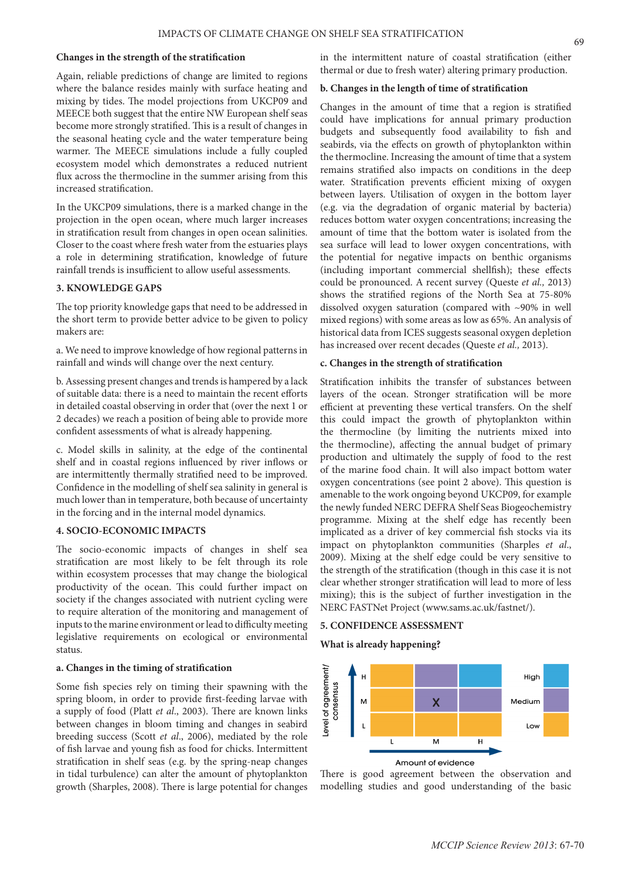#### **Changes in the strength of the stratification**

Again, reliable predictions of change are limited to regions where the balance resides mainly with surface heating and mixing by tides. The model projections from UKCP09 and MEECE both suggest that the entire NW European shelf seas become more strongly stratified. This is a result of changes in the seasonal heating cycle and the water temperature being warmer. The MEECE simulations include a fully coupled ecosystem model which demonstrates a reduced nutrient flux across the thermocline in the summer arising from this increased stratification.

In the UKCP09 simulations, there is a marked change in the projection in the open ocean, where much larger increases in stratification result from changes in open ocean salinities. Closer to the coast where fresh water from the estuaries plays a role in determining stratification, knowledge of future rainfall trends is insufficient to allow useful assessments.

## **3. KNOWLEDGE GAPS**

The top priority knowledge gaps that need to be addressed in the short term to provide better advice to be given to policy makers are:

a. We need to improve knowledge of how regional patterns in rainfall and winds will change over the next century.

b. Assessing present changes and trends is hampered by a lack of suitable data: there is a need to maintain the recent efforts in detailed coastal observing in order that (over the next 1 or 2 decades) we reach a position of being able to provide more confident assessments of what is already happening.

c. Model skills in salinity, at the edge of the continental shelf and in coastal regions influenced by river inflows or are intermittently thermally stratified need to be improved. Confidence in the modelling of shelf sea salinity in general is much lower than in temperature, both because of uncertainty in the forcing and in the internal model dynamics.

## **4. SOCIO-ECONOMIC IMPACTS**

The socio-economic impacts of changes in shelf sea stratification are most likely to be felt through its role within ecosystem processes that may change the biological productivity of the ocean. This could further impact on society if the changes associated with nutrient cycling were to require alteration of the monitoring and management of inputs to the marine environment or lead to difficulty meeting legislative requirements on ecological or environmental status.

#### **a. Changes in the timing of stratification**

Some fish species rely on timing their spawning with the spring bloom, in order to provide first-feeding larvae with a supply of food (Platt *et al*., 2003). There are known links between changes in bloom timing and changes in seabird breeding success (Scott *et al*., 2006), mediated by the role of fish larvae and young fish as food for chicks. Intermittent stratification in shelf seas (e.g. by the spring-neap changes in tidal turbulence) can alter the amount of phytoplankton growth (Sharples, 2008). There is large potential for changes

in the intermittent nature of coastal stratification (either thermal or due to fresh water) altering primary production.

#### **b. Changes in the length of time of stratification**

Changes in the amount of time that a region is stratified could have implications for annual primary production budgets and subsequently food availability to fish and seabirds, via the effects on growth of phytoplankton within the thermocline. Increasing the amount of time that a system remains stratified also impacts on conditions in the deep water. Stratification prevents efficient mixing of oxygen between layers. Utilisation of oxygen in the bottom layer (e.g. via the degradation of organic material by bacteria) reduces bottom water oxygen concentrations; increasing the amount of time that the bottom water is isolated from the sea surface will lead to lower oxygen concentrations, with the potential for negative impacts on benthic organisms (including important commercial shellfish); these effects could be pronounced. A recent survey (Queste *et al.,* 2013) shows the stratified regions of the North Sea at 75-80% dissolved oxygen saturation (compared with ~90% in well mixed regions) with some areas as low as 65%. An analysis of historical data from ICES suggests seasonal oxygen depletion has increased over recent decades (Queste *et al.,* 2013).

#### **c. Changes in the strength of stratification**

Stratification inhibits the transfer of substances between layers of the ocean. Stronger stratification will be more efficient at preventing these vertical transfers. On the shelf this could impact the growth of phytoplankton within the thermocline (by limiting the nutrients mixed into the thermocline), affecting the annual budget of primary production and ultimately the supply of food to the rest of the marine food chain. It will also impact bottom water oxygen concentrations (see point 2 above). This question is amenable to the work ongoing beyond UKCP09, for example the newly funded NERC DEFRA Shelf Seas Biogeochemistry programme. Mixing at the shelf edge has recently been implicated as a driver of key commercial fish stocks via its impact on phytoplankton communities (Sharples *et al*., 2009). Mixing at the shelf edge could be very sensitive to the strength of the stratification (though in this case it is not clear whether stronger stratification will lead to more of less mixing); this is the subject of further investigation in the NERC FASTNet Project (www.sams.ac.uk/fastnet/).

## **5. CONFIDENCE ASSESSMENT**

#### **What is already happening?**



There is good agreement between the observation and modelling studies and good understanding of the basic